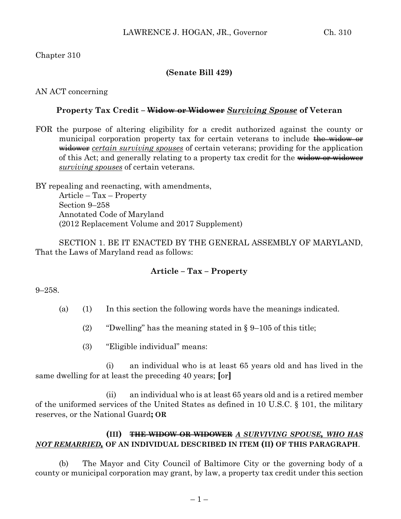### Chapter 310

### **(Senate Bill 429)**

### AN ACT concerning

#### **Property Tax Credit – Widow or Widower** *Surviving Spouse* **of Veteran**

FOR the purpose of altering eligibility for a credit authorized against the county or municipal corporation property tax for certain veterans to include the widow or widower *certain surviving spouses* of certain veterans; providing for the application of this Act; and generally relating to a property tax credit for the widow or widower *surviving spouses* of certain veterans.

BY repealing and reenacting, with amendments, Article – Tax – Property Section 9–258 Annotated Code of Maryland (2012 Replacement Volume and 2017 Supplement)

SECTION 1. BE IT ENACTED BY THE GENERAL ASSEMBLY OF MARYLAND, That the Laws of Maryland read as follows:

### **Article – Tax – Property**

#### 9–258.

- (a) (1) In this section the following words have the meanings indicated.
	- (2) "Dwelling" has the meaning stated in  $\S 9-105$  of this title;
	- (3) "Eligible individual" means:

(i) an individual who is at least 65 years old and has lived in the same dwelling for at least the preceding 40 years; **[**or**]**

(ii) an individual who is at least 65 years old and is a retired member of the uniformed services of the United States as defined in 10 U.S.C. § 101, the military reserves, or the National Guard**; OR** 

## **(III) THE WIDOW OR WIDOWER** *A SURVIVING SPOUSE, WHO HAS NOT REMARRIED,* **OF AN INDIVIDUAL DESCRIBED IN ITEM (II) OF THIS PARAGRAPH**.

(b) The Mayor and City Council of Baltimore City or the governing body of a county or municipal corporation may grant, by law, a property tax credit under this section